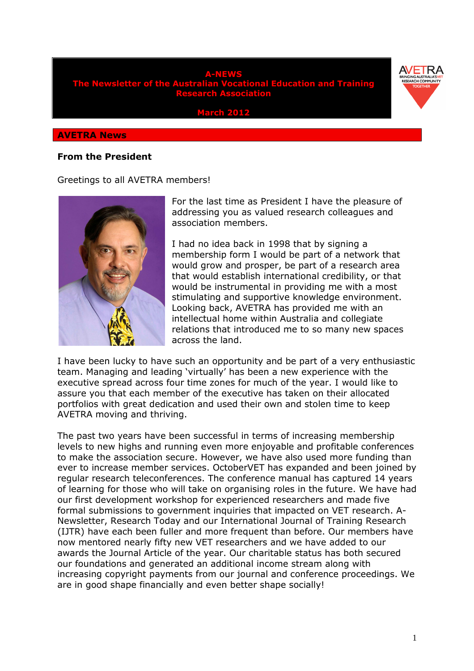

**March 2012** 

#### **AVETRA News**

### **From the President**

#### Greetings to all AVETRA members!



For the last time as President I have the pleasure of addressing you as valued research colleagues and association members.

I had no idea back in 1998 that by signing a membership form I would be part of a network that would grow and prosper, be part of a research area that would establish international credibility, or that would be instrumental in providing me with a most stimulating and supportive knowledge environment. Looking back, AVETRA has provided me with an intellectual home within Australia and collegiate relations that introduced me to so many new spaces across the land.

I have been lucky to have such an opportunity and be part of a very enthusiastic team. Managing and leading 'virtually' has been a new experience with the executive spread across four time zones for much of the year. I would like to assure you that each member of the executive has taken on their allocated portfolios with great dedication and used their own and stolen time to keep AVETRA moving and thriving.

The past two years have been successful in terms of increasing membership levels to new highs and running even more enjoyable and profitable conferences to make the association secure. However, we have also used more funding than ever to increase member services. OctoberVET has expanded and been joined by regular research teleconferences. The conference manual has captured 14 years of learning for those who will take on organising roles in the future. We have had our first development workshop for experienced researchers and made five formal submissions to government inquiries that impacted on VET research. A-Newsletter, Research Today and our International Journal of Training Research (IJTR) have each been fuller and more frequent than before. Our members have now mentored nearly fifty new VET researchers and we have added to our awards the Journal Article of the year. Our charitable status has both secured our foundations and generated an additional income stream along with increasing copyright payments from our journal and conference proceedings. We are in good shape financially and even better shape socially!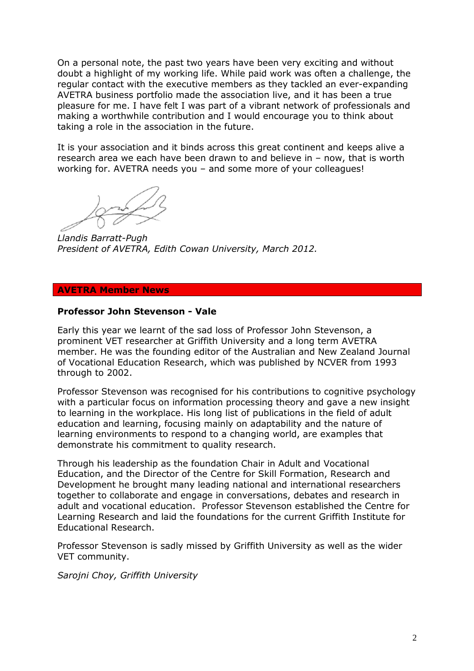On a personal note, the past two years have been very exciting and without doubt a highlight of my working life. While paid work was often a challenge, the regular contact with the executive members as they tackled an ever-expanding AVETRA business portfolio made the association live, and it has been a true pleasure for me. I have felt I was part of a vibrant network of professionals and making a worthwhile contribution and I would encourage you to think about taking a role in the association in the future.

It is your association and it binds across this great continent and keeps alive a research area we each have been drawn to and believe in – now, that is worth working for. AVETRA needs you – and some more of your colleagues!

*Llandis Barratt-Pugh President of AVETRA, Edith Cowan University, March 2012.* 

### **AVETRA Member News**

## **Professor John Stevenson - Vale**

Early this year we learnt of the sad loss of Professor John Stevenson, a prominent VET researcher at Griffith University and a long term AVETRA member. He was the founding editor of the Australian and New Zealand Journal of Vocational Education Research, which was published by NCVER from 1993 through to 2002.

Professor Stevenson was recognised for his contributions to cognitive psychology with a particular focus on information processing theory and gave a new insight to learning in the workplace. His long list of publications in the field of adult education and learning, focusing mainly on adaptability and the nature of learning environments to respond to a changing world, are examples that demonstrate his commitment to quality research.

Through his leadership as the foundation Chair in Adult and Vocational Education, and the Director of the Centre for Skill Formation, Research and Development he brought many leading national and international researchers together to collaborate and engage in conversations, debates and research in adult and vocational education. Professor Stevenson established the Centre for Learning Research and laid the foundations for the current Griffith Institute for Educational Research.

Professor Stevenson is sadly missed by Griffith University as well as the wider VET community.

*Sarojni Choy, Griffith University*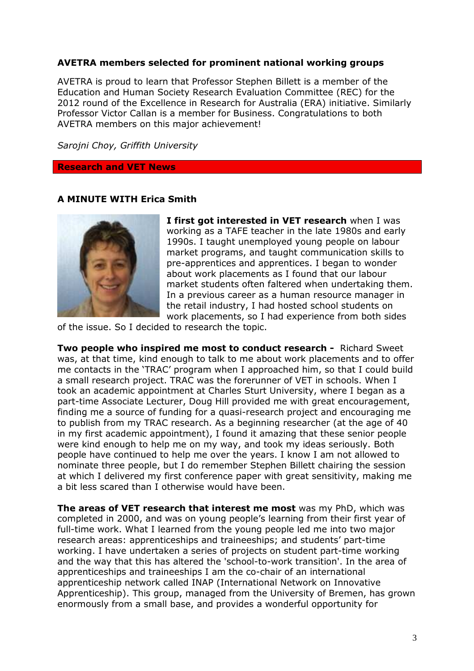# **AVETRA members selected for prominent national working groups**

AVETRA is proud to learn that Professor Stephen Billett is a member of the Education and Human Society Research Evaluation Committee (REC) for the 2012 round of the Excellence in Research for Australia (ERA) initiative. Similarly Professor Victor Callan is a member for Business. Congratulations to both AVETRA members on this major achievement!

*Sarojni Choy, Griffith University*

#### **Research and VET News**

### **A MINUTE WITH Erica Smith**



**I first got interested in VET research** when I was working as a TAFE teacher in the late 1980s and early 1990s. I taught unemployed young people on labour market programs, and taught communication skills to pre-apprentices and apprentices. I began to wonder about work placements as I found that our labour market students often faltered when undertaking them. In a previous career as a human resource manager in the retail industry, I had hosted school students on work placements, so I had experience from both sides

of the issue. So I decided to research the topic.

**Two people who inspired me most to conduct research -** Richard Sweet was, at that time, kind enough to talk to me about work placements and to offer me contacts in the 'TRAC' program when I approached him, so that I could build a small research project. TRAC was the forerunner of VET in schools. When I took an academic appointment at Charles Sturt University, where I began as a part-time Associate Lecturer, Doug Hill provided me with great encouragement, finding me a source of funding for a quasi-research project and encouraging me to publish from my TRAC research. As a beginning researcher (at the age of 40 in my first academic appointment), I found it amazing that these senior people were kind enough to help me on my way, and took my ideas seriously. Both people have continued to help me over the years. I know I am not allowed to nominate three people, but I do remember Stephen Billett chairing the session at which I delivered my first conference paper with great sensitivity, making me a bit less scared than I otherwise would have been.

**The areas of VET research that interest me most** was my PhD, which was completed in 2000, and was on young people's learning from their first year of full-time work. What I learned from the young people led me into two major research areas: apprenticeships and traineeships; and students' part-time working. I have undertaken a series of projects on student part-time working and the way that this has altered the 'school-to-work transition'. In the area of apprenticeships and traineeships I am the co-chair of an international apprenticeship network called INAP (International Network on Innovative Apprenticeship). This group, managed from the University of Bremen, has grown enormously from a small base, and provides a wonderful opportunity for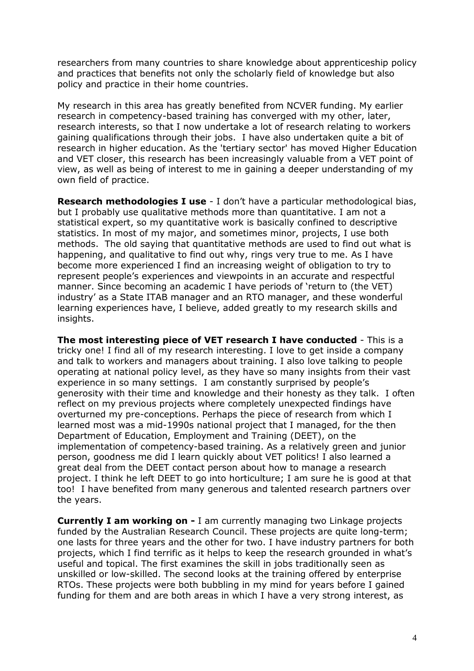researchers from many countries to share knowledge about apprenticeship policy and practices that benefits not only the scholarly field of knowledge but also policy and practice in their home countries.

My research in this area has greatly benefited from NCVER funding. My earlier research in competency-based training has converged with my other, later, research interests, so that I now undertake a lot of research relating to workers gaining qualifications through their jobs. I have also undertaken quite a bit of research in higher education. As the 'tertiary sector' has moved Higher Education and VET closer, this research has been increasingly valuable from a VET point of view, as well as being of interest to me in gaining a deeper understanding of my own field of practice.

**Research methodologies I use** - I don't have a particular methodological bias, but I probably use qualitative methods more than quantitative. I am not a statistical expert, so my quantitative work is basically confined to descriptive statistics. In most of my major, and sometimes minor, projects, I use both methods. The old saying that quantitative methods are used to find out what is happening, and qualitative to find out why, rings very true to me. As I have become more experienced I find an increasing weight of obligation to try to represent people's experiences and viewpoints in an accurate and respectful manner. Since becoming an academic I have periods of 'return to (the VET) industry' as a State ITAB manager and an RTO manager, and these wonderful learning experiences have, I believe, added greatly to my research skills and insights.

**The most interesting piece of VET research I have conducted** - This is a tricky one! I find all of my research interesting. I love to get inside a company and talk to workers and managers about training. I also love talking to people operating at national policy level, as they have so many insights from their vast experience in so many settings. I am constantly surprised by people's generosity with their time and knowledge and their honesty as they talk. I often reflect on my previous projects where completely unexpected findings have overturned my pre-conceptions. Perhaps the piece of research from which I learned most was a mid-1990s national project that I managed, for the then Department of Education, Employment and Training (DEET), on the implementation of competency-based training. As a relatively green and junior person, goodness me did I learn quickly about VET politics! I also learned a great deal from the DEET contact person about how to manage a research project. I think he left DEET to go into horticulture; I am sure he is good at that too! I have benefited from many generous and talented research partners over the years.

**Currently I am working on -** I am currently managing two Linkage projects funded by the Australian Research Council. These projects are quite long-term; one lasts for three years and the other for two. I have industry partners for both projects, which I find terrific as it helps to keep the research grounded in what's useful and topical. The first examines the skill in jobs traditionally seen as unskilled or low-skilled. The second looks at the training offered by enterprise RTOs. These projects were both bubbling in my mind for years before I gained funding for them and are both areas in which I have a very strong interest, as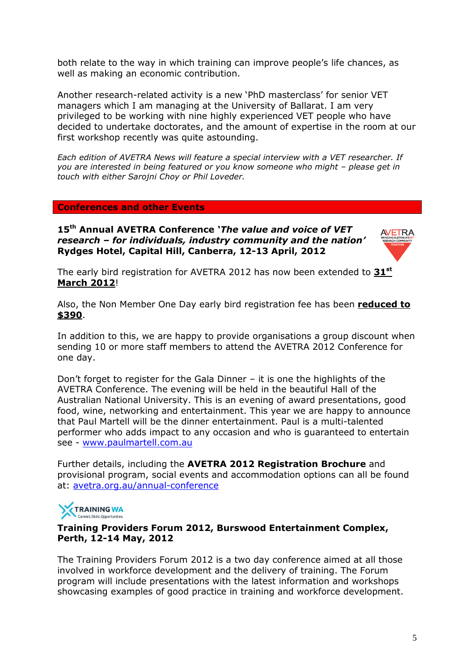both relate to the way in which training can improve people's life chances, as well as making an economic contribution.

Another research-related activity is a new 'PhD masterclass' for senior VET managers which I am managing at the University of Ballarat. I am very privileged to be working with nine highly experienced VET people who have decided to undertake doctorates, and the amount of expertise in the room at our first workshop recently was quite astounding.

*Each edition of AVETRA News will feature a special interview with a VET researcher. If you are interested in being featured or you know someone who might – please get in touch with either Sarojni Choy or Phil Loveder.* 

### **Conferences and other Events**

**15th Annual AVETRA Conference** *'The value and voice of VET research – for individuals, industry community and the nation'*  **Rydges Hotel, Capital Hill, Canberra, 12-13 April, 2012** 



The early bird registration for AVETRA 2012 has now been extended to **31st March 2012**!

Also, the Non Member One Day early bird registration fee has been **reduced to \$390**.

In addition to this, we are happy to provide organisations a group discount when sending 10 or more staff members to attend the AVETRA 2012 Conference for one day.

Don't forget to register for the Gala Dinner – it is one the highlights of the AVETRA Conference. The evening will be held in the beautiful Hall of the Australian National University. This is an evening of award presentations, good food, wine, networking and entertainment. This year we are happy to announce that Paul Martell will be the dinner entertainment. Paul is a multi-talented performer who adds impact to any occasion and who is guaranteed to entertain see - www.paulmartell.com.au

Further details, including the **AVETRA 2012 Registration Brochure** and provisional program, social events and accommodation options can all be found at: avetra.org.au/annual-conference



## **Training Providers Forum 2012, Burswood Entertainment Complex, Perth, 12-14 May, 2012**

The Training Providers Forum 2012 is a two day conference aimed at all those involved in workforce development and the delivery of training. The Forum program will include presentations with the latest information and workshops showcasing examples of good practice in training and workforce development.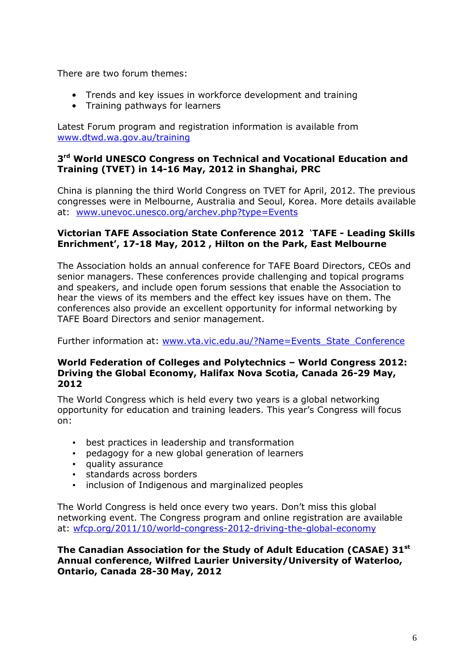There are two forum themes:

- Trends and key issues in workforce development and training
- Training pathways for learners

Latest Forum program and registration information is available from www.dtwd.wa.gov.au/training

# **3 rd World UNESCO Congress on Technical and Vocational Education and Training (TVET) in 14-16 May, 2012 in Shanghai, PRC**

China is planning the third World Congress on TVET for April, 2012. The previous congresses were in Melbourne, Australia and Seoul, Korea. More details available at: www.unevoc.unesco.org/archev.php?type=Events

# **Victorian TAFE Association State Conference 2012** '**TAFE - Leading Skills Enrichment', 17-18 May, 2012 , Hilton on the Park, East Melbourne**

The Association holds an annual conference for TAFE Board Directors, CEOs and senior managers. These conferences provide challenging and topical programs and speakers, and include open forum sessions that enable the Association to hear the views of its members and the effect key issues have on them. The conferences also provide an excellent opportunity for informal networking by TAFE Board Directors and senior management.

Further information at: www.vta.vic.edu.au/?Name=Events\_State\_Conference

# **World Federation of Colleges and Polytechnics – World Congress 2012: Driving the Global Economy, Halifax Nova Scotia, Canada 26-29 May, 2012**

The World Congress which is held every two years is a global networking opportunity for education and training leaders. This year's Congress will focus on:

- best practices in leadership and transformation
- pedagogy for a new global generation of learners
- quality assurance
- standards across borders
- inclusion of Indigenous and marginalized peoples

The World Congress is held once every two years. Don't miss this global networking event. The Congress program and online registration are available at: wfcp.org/2011/10/world-congress-2012-driving-the-global-economy

**The Canadian Association for the Study of Adult Education (CASAE) 31st Annual conference, Wilfred Laurier University/University of Waterloo, Ontario, Canada 28-30 May, 2012**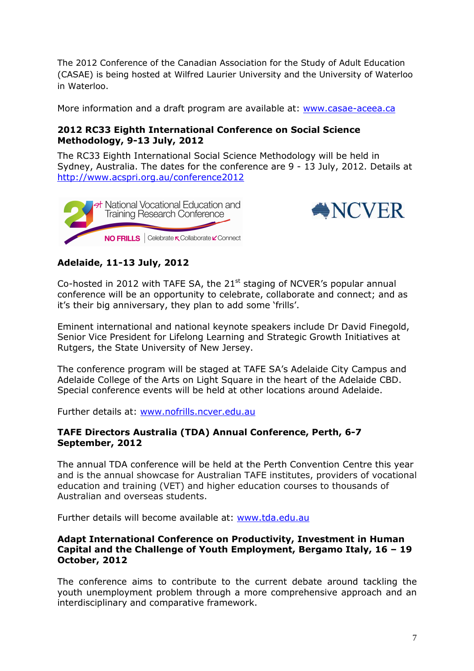The 2012 Conference of the Canadian Association for the Study of Adult Education (CASAE) is being hosted at Wilfred Laurier University and the University of Waterloo in Waterloo.

More information and a draft program are available at: www.casae-aceea.ca

# **2012 RC33 Eighth International Conference on Social Science Methodology, 9-13 July, 2012**

The RC33 Eighth International Social Science Methodology will be held in Sydney, Australia. The dates for the conference are 9 - 13 July, 2012. Details at http://www.acspri.org.au/conference2012





# **Adelaide, 11-13 July, 2012**

Co-hosted in 2012 with TAFE SA, the  $21<sup>st</sup>$  staging of NCVER's popular annual conference will be an opportunity to celebrate, collaborate and connect; and as it's their big anniversary, they plan to add some 'frills'.

Eminent international and national keynote speakers include Dr David Finegold, Senior Vice President for Lifelong Learning and Strategic Growth Initiatives at Rutgers, the State University of New Jersey.

The conference program will be staged at TAFE SA's Adelaide City Campus and Adelaide College of the Arts on Light Square in the heart of the Adelaide CBD. Special conference events will be held at other locations around Adelaide.

Further details at: www.nofrills.ncver.edu.au

# **TAFE Directors Australia (TDA) Annual Conference, Perth, 6-7 September, 2012**

The annual TDA conference will be held at the Perth Convention Centre this year and is the annual showcase for Australian TAFE institutes, providers of vocational education and training (VET) and higher education courses to thousands of Australian and overseas students.

Further details will become available at: www.tda.edu.au

# **Adapt International Conference on Productivity, Investment in Human Capital and the Challenge of Youth Employment, Bergamo Italy, 16 – 19 October, 2012**

The conference aims to contribute to the current debate around tackling the youth unemployment problem through a more comprehensive approach and an interdisciplinary and comparative framework.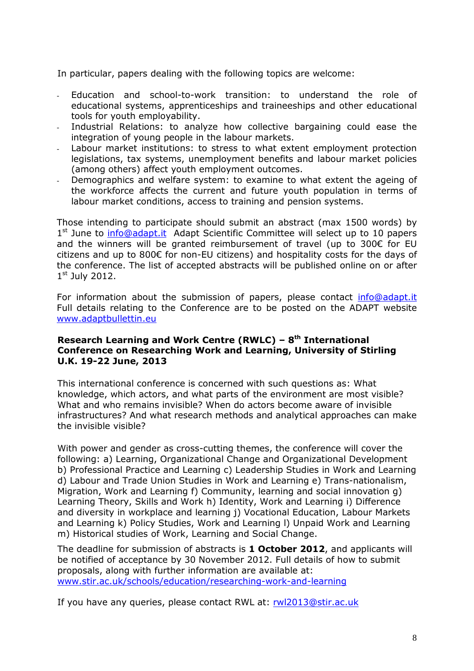In particular, papers dealing with the following topics are welcome:

- Education and school-to-work transition: to understand the role of educational systems, apprenticeships and traineeships and other educational tools for youth employability.
- Industrial Relations: to analyze how collective bargaining could ease the integration of young people in the labour markets.
- Labour market institutions: to stress to what extent employment protection legislations, tax systems, unemployment benefits and labour market policies (among others) affect youth employment outcomes.
- Demographics and welfare system: to examine to what extent the ageing of the workforce affects the current and future youth population in terms of labour market conditions, access to training and pension systems.

Those intending to participate should submit an abstract (max 1500 words) by 1<sup>st</sup> June to **info@adapt.it** Adapt Scientific Committee will select up to 10 papers and the winners will be granted reimbursement of travel (up to 300€ for EU citizens and up to 800€ for non-EU citizens) and hospitality costs for the days of the conference. The list of accepted abstracts will be published online on or after 1st July 2012.

For information about the submission of papers, please contact info@adapt.it Full details relating to the Conference are to be posted on the ADAPT website www.adaptbullettin.eu

# **Research Learning and Work Centre (RWLC) – 8th International Conference on Researching Work and Learning, University of Stirling U.K. 19-22 June, 2013**

This international conference is concerned with such questions as: What knowledge, which actors, and what parts of the environment are most visible? What and who remains invisible? When do actors become aware of invisible infrastructures? And what research methods and analytical approaches can make the invisible visible?

With power and gender as cross-cutting themes, the conference will cover the following: a) Learning, Organizational Change and Organizational Development b) Professional Practice and Learning c) Leadership Studies in Work and Learning d) Labour and Trade Union Studies in Work and Learning e) Trans-nationalism, Migration, Work and Learning f) Community, learning and social innovation g) Learning Theory, Skills and Work h) Identity, Work and Learning i) Difference and diversity in workplace and learning j) Vocational Education, Labour Markets and Learning k) Policy Studies, Work and Learning l) Unpaid Work and Learning m) Historical studies of Work, Learning and Social Change.

The deadline for submission of abstracts is **1 October 2012**, and applicants will be notified of acceptance by 30 November 2012. Full details of how to submit proposals, along with further information are available at: www.stir.ac.uk/schools/education/researching-work-and-learning

If you have any queries, please contact RWL at: rwl2013@stir.ac.uk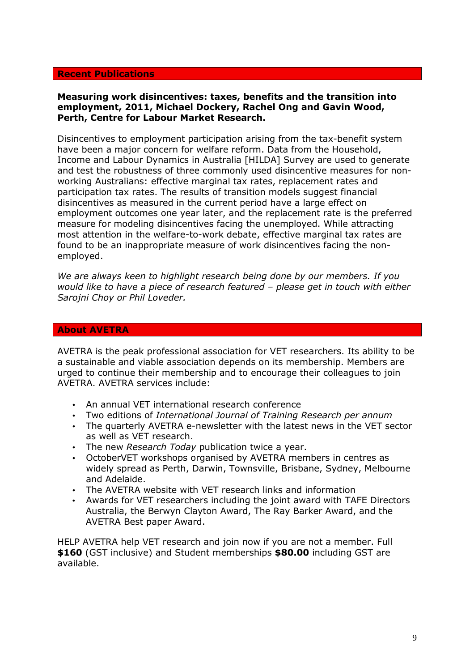### **Recent Publications**

### **Measuring work disincentives: taxes, benefits and the transition into employment, 2011, Michael Dockery, Rachel Ong and Gavin Wood, Perth, Centre for Labour Market Research.**

Disincentives to employment participation arising from the tax-benefit system have been a major concern for welfare reform. Data from the Household, Income and Labour Dynamics in Australia [HILDA] Survey are used to generate and test the robustness of three commonly used disincentive measures for nonworking Australians: effective marginal tax rates, replacement rates and participation tax rates. The results of transition models suggest financial disincentives as measured in the current period have a large effect on employment outcomes one year later, and the replacement rate is the preferred measure for modeling disincentives facing the unemployed. While attracting most attention in the welfare-to-work debate, effective marginal tax rates are found to be an inappropriate measure of work disincentives facing the nonemployed.

*We are always keen to highlight research being done by our members. If you would like to have a piece of research featured – please get in touch with either Sarojni Choy or Phil Loveder.* 

#### **About AVETRA**

AVETRA is the peak professional association for VET researchers. Its ability to be a sustainable and viable association depends on its membership. Members are urged to continue their membership and to encourage their colleagues to join AVETRA. AVETRA services include:

- An annual VET international research conference
- Two editions of *International Journal of Training Research per annum*
- The quarterly AVETRA e-newsletter with the latest news in the VET sector as well as VET research.
- The new *Research Today* publication twice a year.
- OctoberVET workshops organised by AVETRA members in centres as widely spread as Perth, Darwin, Townsville, Brisbane, Sydney, Melbourne and Adelaide.
- The AVETRA website with VET research links and information
- Awards for VET researchers including the joint award with TAFE Directors Australia, the Berwyn Clayton Award, The Ray Barker Award, and the AVETRA Best paper Award.

HELP AVETRA help VET research and join now if you are not a member. Full **\$160** (GST inclusive) and Student memberships **\$80.00** including GST are available.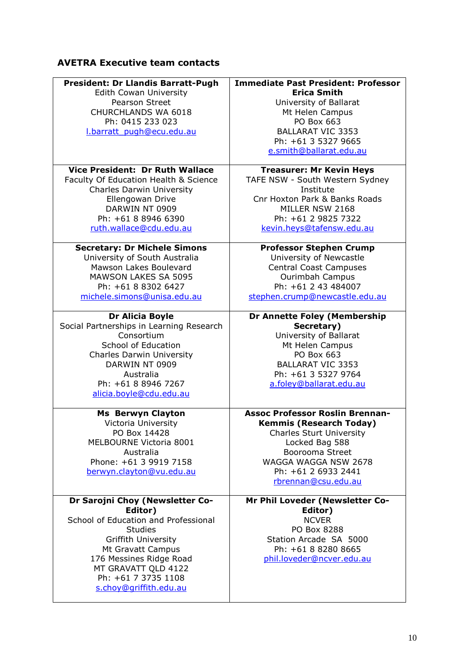# **AVETRA Executive team contacts**

| <b>President: Dr Llandis Barratt-Pugh</b>                                                                                                                                                                                                           | <b>Immediate Past President: Professor</b>                                                                                                                                                                             |
|-----------------------------------------------------------------------------------------------------------------------------------------------------------------------------------------------------------------------------------------------------|------------------------------------------------------------------------------------------------------------------------------------------------------------------------------------------------------------------------|
| Edith Cowan University                                                                                                                                                                                                                              | <b>Erica Smith</b>                                                                                                                                                                                                     |
| Pearson Street                                                                                                                                                                                                                                      | University of Ballarat                                                                                                                                                                                                 |
| CHURCHLANDS WA 6018                                                                                                                                                                                                                                 | Mt Helen Campus                                                                                                                                                                                                        |
| Ph: 0415 233 023                                                                                                                                                                                                                                    | PO Box 663                                                                                                                                                                                                             |
| I.barratt pugh@ecu.edu.au                                                                                                                                                                                                                           | <b>BALLARAT VIC 3353</b>                                                                                                                                                                                               |
|                                                                                                                                                                                                                                                     | Ph: +61 3 5327 9665<br>e.smith@ballarat.edu.au                                                                                                                                                                         |
| <b>Vice President: Dr Ruth Wallace</b>                                                                                                                                                                                                              | <b>Treasurer: Mr Kevin Heys</b>                                                                                                                                                                                        |
| Faculty Of Education Health & Science                                                                                                                                                                                                               | TAFE NSW - South Western Sydney                                                                                                                                                                                        |
| <b>Charles Darwin University</b>                                                                                                                                                                                                                    | Institute                                                                                                                                                                                                              |
| Ellengowan Drive                                                                                                                                                                                                                                    | Cnr Hoxton Park & Banks Roads                                                                                                                                                                                          |
| DARWIN NT 0909                                                                                                                                                                                                                                      | MILLER NSW 2168                                                                                                                                                                                                        |
| Ph: +61 8 8946 6390                                                                                                                                                                                                                                 | Ph: +61 2 9825 7322                                                                                                                                                                                                    |
| ruth.wallace@cdu.edu.au                                                                                                                                                                                                                             | kevin.heys@tafensw.edu.au                                                                                                                                                                                              |
| <b>Secretary: Dr Michele Simons</b>                                                                                                                                                                                                                 | <b>Professor Stephen Crump</b>                                                                                                                                                                                         |
| University of South Australia                                                                                                                                                                                                                       | University of Newcastle                                                                                                                                                                                                |
| Mawson Lakes Boulevard                                                                                                                                                                                                                              | <b>Central Coast Campuses</b>                                                                                                                                                                                          |
| <b>MAWSON LAKES SA 5095</b>                                                                                                                                                                                                                         | Ourimbah Campus                                                                                                                                                                                                        |
| Ph: +61 8 8302 6427                                                                                                                                                                                                                                 | Ph: +61 2 43 484007                                                                                                                                                                                                    |
| michele.simons@unisa.edu.au                                                                                                                                                                                                                         | stephen.crump@newcastle.edu.au                                                                                                                                                                                         |
| <b>Dr Alicia Boyle</b><br>Social Partnerships in Learning Research<br>Consortium<br>School of Education<br><b>Charles Darwin University</b><br>DARWIN NT 0909<br>Australia<br>Ph: +61 8 8946 7267<br>alicia.boyle@cdu.edu.au                        | <b>Dr Annette Foley (Membership</b><br>Secretary)<br>University of Ballarat<br>Mt Helen Campus<br>PO Box 663<br><b>BALLARAT VIC 3353</b><br>Ph: +61 3 5327 9764<br>a.foley@ballarat.edu.au                             |
| <b>Ms Berwyn Clayton</b><br>Victoria University<br>PO Box 14428<br>MELBOURNE Victoria 8001<br>Australia<br>Phone: +61 3 9919 7158<br>berwyn.clayton@vu.edu.au                                                                                       | <b>Assoc Professor Roslin Brennan-</b><br><b>Kemmis (Research Today)</b><br><b>Charles Sturt University</b><br>Locked Bag 588<br>Boorooma Street<br>WAGGA WAGGA NSW 2678<br>Ph: +61 2 6933 2441<br>rbrennan@csu.edu.au |
| Dr Sarojni Choy (Newsletter Co-<br>Editor)<br>School of Education and Professional<br><b>Studies</b><br>Griffith University<br>Mt Gravatt Campus<br>176 Messines Ridge Road<br>MT GRAVATT QLD 4122<br>Ph: +61 7 3735 1108<br>s.choy@griffith.edu.au | Mr Phil Loveder (Newsletter Co-<br>Editor)<br><b>NCVER</b><br>PO Box 8288<br>Station Arcade SA 5000<br>Ph: +61 8 8280 8665<br>phil.loveder@ncver.edu.au                                                                |